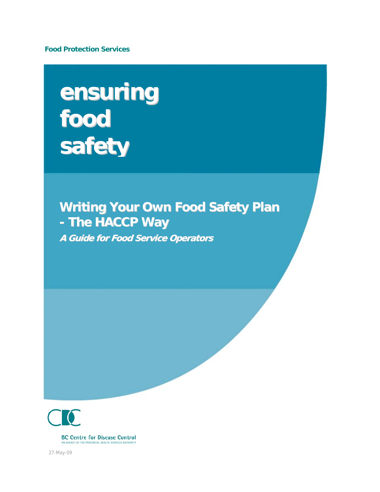**Food Protection Services** 

# **ensuring food safety**

# **Writing Your Own Food Safety Plan - The HACCP Way**

**A Guide for Food Service Operators** 

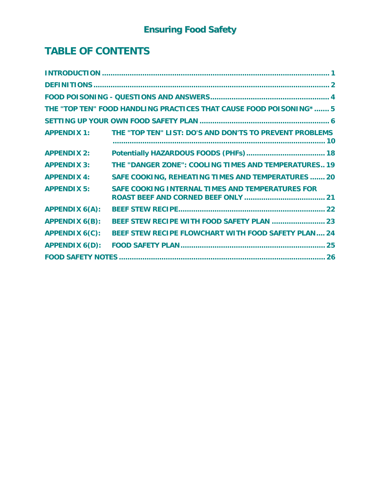# **TABLE OF CONTENTS**

|                       | THE "TOP TEN" FOOD HANDLING PRACTICES THAT CAUSE FOOD POISONING* 5 |  |  |  |  |
|-----------------------|--------------------------------------------------------------------|--|--|--|--|
|                       |                                                                    |  |  |  |  |
| <b>APPENDIX 1:</b>    | THE "TOP TEN" LIST: DO'S AND DON'TS TO PREVENT PROBLEMS            |  |  |  |  |
| <b>APPENDIX 2:</b>    |                                                                    |  |  |  |  |
| <b>APPENDIX 3:</b>    | THE "DANGER ZONE": COOLING TIMES AND TEMPERATURES 19               |  |  |  |  |
| <b>APPENDIX 4:</b>    | <b>SAFE COOKING, REHEATING TIMES AND TEMPERATURES  20</b>          |  |  |  |  |
| <b>APPENDIX 5:</b>    | SAFE COOKING INTERNAL TIMES AND TEMPERATURES FOR                   |  |  |  |  |
| <b>APPENDIX 6(A):</b> |                                                                    |  |  |  |  |
| <b>APPENDIX 6(B):</b> | BEEF STEW RECIPE WITH FOOD SAFETY PLAN  23                         |  |  |  |  |
| <b>APPENDIX 6(C):</b> | BEEF STEW RECIPE FLOWCHART WITH FOOD SAFETY PLAN 24                |  |  |  |  |
| <b>APPENDIX 6(D):</b> |                                                                    |  |  |  |  |
|                       |                                                                    |  |  |  |  |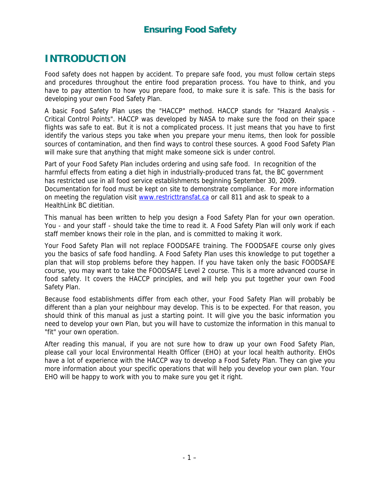# <span id="page-2-0"></span>**INTRODUCTION**

Food safety does not happen by accident. To prepare safe food, you must follow certain steps and procedures throughout the entire food preparation process. You have to think, and you have to pay attention to how you prepare food, to make sure it is safe. This is the basis for developing your own Food Safety Plan.

A basic Food Safety Plan uses the "HACCP" method. HACCP stands for "Hazard Analysis - Critical Control Points". HACCP was developed by NASA to make sure the food on their space flights was safe to eat. But it is not a complicated process. It just means that you have to first identify the various steps you take when you prepare your menu items, then look for possible sources of contamination, and then find ways to control these sources. A good Food Safety Plan will make sure that anything that might make someone sick is under control.

Part of your Food Safety Plan includes ordering and using safe food. In recognition of the harmful effects from eating a diet high in industrially-produced trans fat, the BC government has restricted use in all food service establishments beginning September 30, 2009. Documentation for food must be kept on site to demonstrate compliance. For more information on meeting the regulation visit [www.restricttransfat.ca](http://www.restricttransfat.ca/) or call 811 and ask to speak to a HealthLink BC dietitian.

This manual has been written to help you design a Food Safety Plan for your own operation. You - and your staff - should take the time to read it. A Food Safety Plan will only work if each staff member knows their role in the plan, and is committed to making it work.

Your Food Safety Plan will not replace FOODSAFE training. The FOODSAFE course only gives you the basics of safe food handling. A Food Safety Plan uses this knowledge to put together a plan that will stop problems before they happen. If you have taken only the basic FOODSAFE course, you may want to take the FOODSAFE Level 2 course. This is a more advanced course in food safety. It covers the HACCP principles, and will help you put together your own Food Safety Plan.

Because food establishments differ from each other, your Food Safety Plan will probably be different than a plan your neighbour may develop. This is to be expected. For that reason, you should think of this manual as just a starting point. It will give you the basic information you need to develop your own Plan, but you will have to customize the information in this manual to "fit" your own operation.

After reading this manual, if you are not sure how to draw up your own Food Safety Plan, please call your local Environmental Health Officer (EHO) at your local health authority. EHOs have a lot of experience with the HACCP way to develop a Food Safety Plan. They can give you more information about your specific operations that will help you develop your own plan. Your EHO will be happy to work with you to make sure you get it right.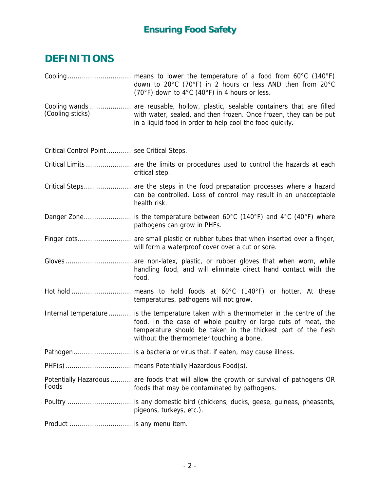# <span id="page-3-0"></span>**DEFINITIONS**

|                                            | down to 20°C (70°F) in 2 hours or less AND then from 20°C<br>(70°F) down to 4°C (40°F) in 4 hours or less.                                                                                                                                                           |
|--------------------------------------------|----------------------------------------------------------------------------------------------------------------------------------------------------------------------------------------------------------------------------------------------------------------------|
| (Cooling sticks)                           | Cooling wands  are reusable, hollow, plastic, sealable containers that are filled<br>with water, sealed, and then frozen. Once frozen, they can be put<br>in a liquid food in order to help cool the food quickly.                                                   |
| Critical Control Point see Critical Steps. |                                                                                                                                                                                                                                                                      |
|                                            | Critical Limits  are the limits or procedures used to control the hazards at each<br>critical step.                                                                                                                                                                  |
|                                            | Critical Steps are the steps in the food preparation processes where a hazard<br>can be controlled. Loss of control may result in an unacceptable<br>health risk.                                                                                                    |
|                                            | pathogens can grow in PHFs.                                                                                                                                                                                                                                          |
|                                            | will form a waterproof cover over a cut or sore.                                                                                                                                                                                                                     |
|                                            | handling food, and will eliminate direct hand contact with the<br>food.                                                                                                                                                                                              |
|                                            | temperatures, pathogens will not grow.                                                                                                                                                                                                                               |
|                                            | Internal temperature  is the temperature taken with a thermometer in the centre of the<br>food. In the case of whole poultry or large cuts of meat, the<br>temperature should be taken in the thickest part of the flesh<br>without the thermometer touching a bone. |
|                                            | Pathogen is a bacteria or virus that, if eaten, may cause illness.                                                                                                                                                                                                   |
|                                            |                                                                                                                                                                                                                                                                      |
| Foods                                      | Potentially Hazardous  are foods that will allow the growth or survival of pathogens OR<br>foods that may be contaminated by pathogens.                                                                                                                              |
|                                            | Poultry  is any domestic bird (chickens, ducks, geese, guineas, pheasants,<br>pigeons, turkeys, etc.).                                                                                                                                                               |
| Product  is any menu item.                 |                                                                                                                                                                                                                                                                      |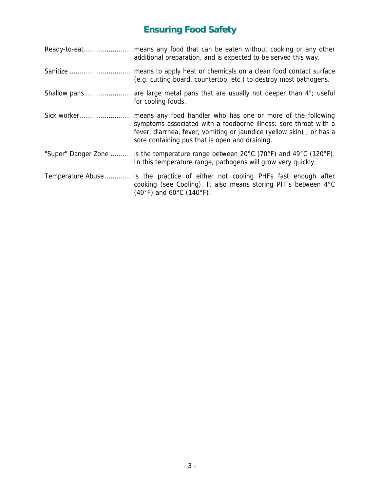| additional preparation, and is expected to be served this way.                                                                                                                                            |
|-----------------------------------------------------------------------------------------------------------------------------------------------------------------------------------------------------------|
| (e.g. cutting board, countertop, etc.) to destroy most pathogens.                                                                                                                                         |
| Shallow pans  are large metal pans that are usually not deeper than 4"; useful<br>for cooling foods.                                                                                                      |
| symptoms associated with a foodborne illness: sore throat with a<br>fever, diarrhea, fever, vomiting or jaundice (yellow skin); or has a<br>sore containing pus that is open and draining.                |
| "Super" Danger Zone  is the temperature range between 20°C (70°F) and 49°C (120°F).<br>In this temperature range, pathogens will grow very quickly.                                                       |
| Temperature Abuse is the practice of either not cooling PHFs fast enough after<br>cooking (see Cooling). It also means storing PHFs between 4°C<br>$(40^{\circ}F)$ and 60 $^{\circ}C$ (140 $^{\circ}F$ ). |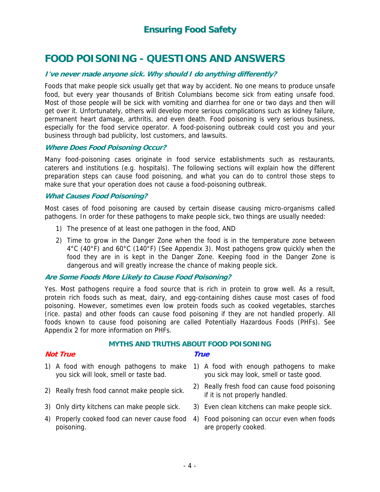# <span id="page-5-0"></span>**FOOD POISONING - QUESTIONS AND ANSWERS**

#### **I've never made anyone sick. Why should I do anything differently?**

Foods that make people sick usually get that way by accident. No one means to produce unsafe food, but every year thousands of British Columbians become sick from eating unsafe food. Most of those people will be sick with vomiting and diarrhea for one or two days and then will get over it. Unfortunately, others will develop more serious complications such as kidney failure, permanent heart damage, arthritis, and even death. Food poisoning is very serious business, especially for the food service operator. A food-poisoning outbreak could cost you and your business through bad publicity, lost customers, and lawsuits.

#### **Where Does Food Poisoning Occur?**

Many food-poisoning cases originate in food service establishments such as restaurants, caterers and institutions (e.g. hospitals). The following sections will explain how the different preparation steps can cause food poisoning, and what you can do to control those steps to make sure that your operation does not cause a food-poisoning outbreak.

#### **What Causes Food Poisoning?**

Most cases of food poisoning are caused by certain disease causing micro-organisms called pathogens. In order for these pathogens to make people sick, two things are usually needed:

- 1) The presence of at least one pathogen in the food, AND
- 2) Time to grow in the Danger Zone when the food is in the temperature zone between 4°C (40°F) and 60°C (140°F) (See Appendix 3). Most pathogens grow quickly when the food they are in is kept in the Danger Zone. Keeping food in the Danger Zone is dangerous and will greatly increase the chance of making people sick.

#### **Are Some Foods More Likely to Cause Food Poisoning?**

Yes. Most pathogens require a food source that is rich in protein to grow well. As a result, protein rich foods such as meat, dairy, and egg-containing dishes cause most cases of food poisoning. However, sometimes even low protein foods such as cooked vegetables, starches (rice. pasta) and other foods can cause food poisoning if they are not handled properly. All foods known to cause food poisoning are called Potentially Hazardous Foods (PHFs). See Appendix 2 for more information on PHFs.

#### **MYTHS AND TRUTHS ABOUT FOOD POISONING**

#### **Not True True**

- 
- you sick will look, smell or taste bad.
- 
- 3) Only dirty kitchens can make people sick. 3) Even clean kitchens can make people sick.
- 4) Properly cooked food can never cause food 4) Food poisoning can occur even when foods poisoning.
- 1) A food with enough pathogens to make 1) A food with enough pathogens to make you sick may look, smell or taste good.
- 2) Really fresh food cannot make people sick. 2) Really fresh food can cause food poisoning if it is not properly handled.
	-
	- are properly cooked.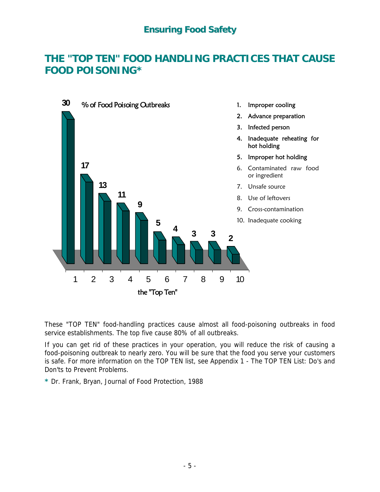# <span id="page-6-0"></span>**THE "TOP TEN" FOOD HANDLING PRACTICES THAT CAUSE FOOD POISONING\***



These "TOP TEN" food-handling practices cause almost all food-poisoning outbreaks in food service establishments. The top five cause 80% of all outbreaks.

If you can get rid of these practices in your operation, you will reduce the risk of causing a food-poisoning outbreak to nearly zero. You will be sure that the food you serve your customers is safe. For more information on the TOP TEN list, see Appendix 1 - The TOP TEN List: Do's and Don'ts to Prevent Problems.

**\*** Dr. Frank, Bryan, Journal of Food Protection, 1988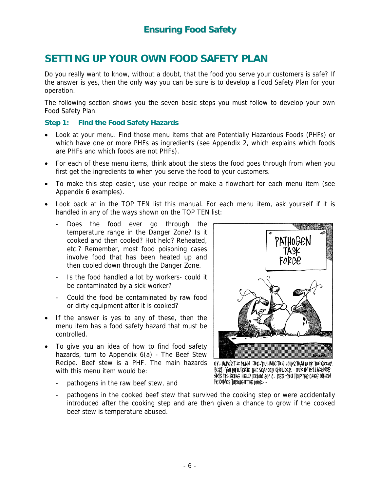# <span id="page-7-0"></span>**SETTING UP YOUR OWN FOOD SAFETY PLAN**

Do you really want to know, without a doubt, that the food you serve your customers is safe? If the answer is yes, then the only way you can be sure is to develop a Food Safety Plan for your operation.

The following section shows you the seven basic steps you must follow to develop your own Food Safety Plan.

#### **Step 1: Find the Food Safety Hazards**

- Look at your menu. Find those menu items that are Potentially Hazardous Foods (PHFs) or which have one or more PHFs as ingredients (see Appendix 2, which explains which foods are PHFs and which foods are not PHFs).
- For each of these menu items, think about the steps the food goes through from when you first get the ingredients to when you serve the food to your customers.
- To make this step easier, use your recipe or make a flowchart for each menu item (see Appendix 6 examples).
- Look back at in the TOP TEN list this manual. For each menu item, ask yourself if it is handled in any of the ways shown on the TOP TEN list:
	- Does the food ever go through the temperature range in the Danger Zone? Is it cooked and then cooled? Hot held? Reheated, etc.? Remember, most food poisoning cases involve food that has been heated up and then cooled down through the Danger Zone.
	- Is the food handled a lot by workers- could it be contaminated by a sick worker?
	- Could the food be contaminated by raw food or dirty equipment after it is cooked?
- If the answer is yes to any of these, then the menu item has a food safety hazard that must be controlled.
- To give you an idea of how to find food safety hazards, turn to Appendix 6(a) - The Beef Stew Recipe. Beef stew is a PHF. The main hazards with this menu item would be:
	- pathogens in the raw beef stew, and



O.K-HERE'S THE PLAN. JOE-YOU HAVE TWO HOURS TO ATTACK THE GRAVY. BERT-YOU INFILTRATE THE SEAFOOD CHOWDER - OUR INTELLIGENCE SAYS IT'S BEING HELD BELOW 60° C. FEG-YOU TRIP THE CHEF WHEN HE COMES THROUGH THE DOOR ...

pathogens in the cooked beef stew that survived the cooking step or were accidentally introduced after the cooking step and are then given a chance to grow if the cooked beef stew is temperature abused.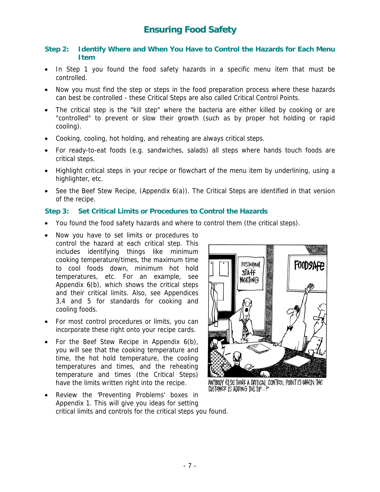#### **Step 2: Identify Where and When You Have to Control the Hazards for Each Menu Item**

- In Step 1 you found the food safety hazards in a specific menu item that must be controlled.
- Now you must find the step or steps in the food preparation process where these hazards can best be controlled - these Critical Steps are also called Critical Control Points.
- The critical step is the "kill step" where the bacteria are either killed by cooking or are "controlled" to prevent or slow their growth (such as by proper hot holding or rapid cooling).
- Cooking, cooling, hot holding, and reheating are always critical steps.
- For ready-to-eat foods (e.g. sandwiches, salads) all steps where hands touch foods are critical steps.
- Highlight critical steps in your recipe or flowchart of the menu item by underlining, using a highlighter, etc.
- See the Beef Stew Recipe, (Appendix 6(a)). The Critical Steps are identified in that version of the recipe.

#### **Step 3: Set Critical Limits or Procedures to Control the Hazards**

- You found the food safety hazards and where to control them (the critical steps).
- Now you have to set limits or procedures to control the hazard at each critical step. This includes identifying things like minimum cooking temperature/times, the maximum time to cool foods down, minimum hot hold temperatures, etc. For an example, see Appendix 6(b), which shows the critical steps and their critical limits. Also, see Appendices 3,4 and 5 for standards for cooking and cooling foods.
- For most control procedures or limits, you can incorporate these right onto your recipe cards.
- For the Beef Stew Recipe in Appendix  $6(b)$ , you will see that the cooking temperature and time, the hot hold temperature, the cooling temperatures and times, and the reheating temperature and times (the Critical Steps) have the limits written right into the recipe.
- Review the 'Preventing Problems' boxes in Appendix 1. This will give you ideas for setting critical limits and controls for the critical steps you found.



ANYBODY ELSE THINK A CRITICAL CONTROL POINT IS WHEN THE CUSTOMER IS ADDING THE TIP.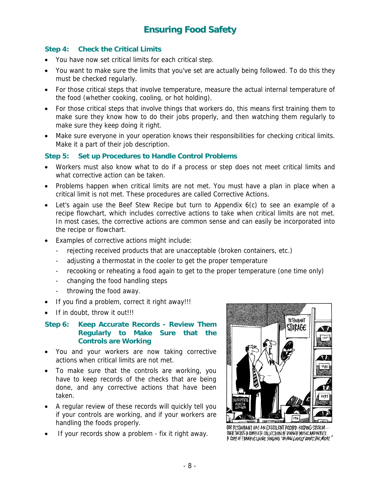#### **Step 4: Check the Critical Limits**

- You have now set critical limits for each critical step.
- You want to make sure the limits that you've set are actually being followed. To do this they must be checked regularly.
- For those critical steps that involve temperature, measure the actual internal temperature of the food (whether cooking, cooling, or hot holding).
- For those critical steps that involve things that workers do, this means first training them to make sure they know how to do their jobs properly, and then watching them regularly to make sure they keep doing it right.
- Make sure everyone in your operation knows their responsibilities for checking critical limits. Make it a part of their job description.

#### **Step 5: Set up Procedures to Handle Control Problems**

- Workers must also know what to do if a process or step does not meet critical limits and what corrective action can be taken.
- Problems happen when critical limits are not met. You must have a plan in place when a critical limit is not met. These procedures are called Corrective Actions.
- Let's again use the Beef Stew Recipe but turn to Appendix 6(c) to see an example of a recipe flowchart, which includes corrective actions to take when critical limits are not met. In most cases, the corrective actions are common sense and can easily be incorporated into the recipe or flowchart.
- Examples of corrective actions might include:
	- rejecting received products that are unacceptable (broken containers, etc.)
	- adjusting a thermostat in the cooler to get the proper temperature
	- recooking or reheating a food again to get to the proper temperature (one time only)
	- changing the food handling steps
	- throwing the food away.
- If you find a problem, correct it right away!!!
- If in doubt, throw it out!!!

#### **Step 6: Keep Accurate Records - Review Them Regularly to Make Sure that the Controls are Working**

- You and your workers are now taking corrective actions when critical limits are not met.
- To make sure that the controls are working, you have to keep records of the checks that are being done, and any corrective actions that have been taken.
- A regular review of these records will quickly tell you if your controls are working, and if your workers are handling the foods properly.
- If your records show a problem fix it right away.



OOR PESTAURANT HAS AN EXCELLENT PECORD-KEEPING SYSTEM... OVER THERE'S A COMPLETE COLLECTION OF DINNER MUSIC AND HERE'S A COPY OF FRANKIE LAINE SINGING 'OH HOW LOUELY COOKS THE MEAT.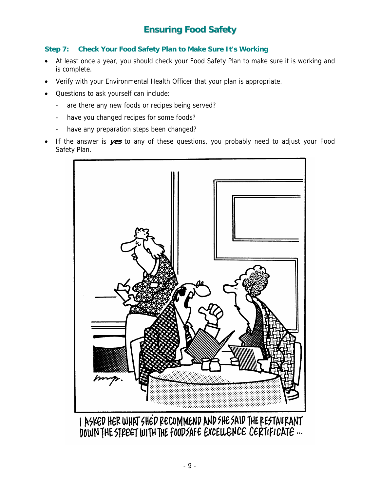#### **Step 7: Check Your Food Safety Plan to Make Sure It's Working**

- At least once a year, you should check your Food Safety Plan to make sure it is working and is complete.
- Verify with your Environmental Health Officer that your plan is appropriate.
- Questions to ask yourself can include:
	- are there any new foods or recipes being served?
	- have you changed recipes for some foods?
	- have any preparation steps been changed?
- If the answer is **yes** to any of these questions, you probably need to adjust your Food Safety Plan.



I ASKED HER WHAT SHED RECOMMEND AND SHE SAID THE RESTAURANT DOWN THE STREET WITH THE FOODSAFE EXCELLENCE CERTIFICATE ...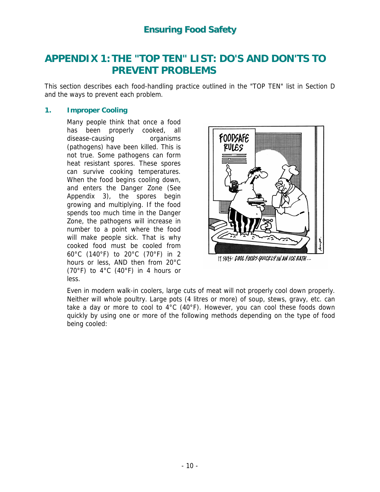# <span id="page-11-0"></span>**APPENDIX 1: THE "TOP TEN" LIST: DO'S AND DON'TS TO PREVENT PROBLEMS**

This section describes each food-handling practice outlined in the "TOP TEN" list in Section D and the ways to prevent each problem.

#### **1. Improper Cooling**

Many people think that once a food has been properly cooked, all disease-causing organisms (pathogens) have been killed. This is not true. Some pathogens can form heat resistant spores. These spores can survive cooking temperatures. When the food begins cooling down, and enters the Danger Zone (See Appendix 3), the spores begin growing and multiplying. If the food spends too much time in the Danger Zone, the pathogens will increase in number to a point where the food will make people sick. That is why cooked food must be cooled from 60°C (140°F) to 20°C (70°F) in 2 hours or less, AND then from 20°C (70°F) to 4°C (40°F) in 4 hours or less.



IT SAYS: COOL FOODS QUICKLY IN AN ICE BATH...

quickly by using one or more of the following methods depending on the type of food being cooled: Even in modern walk-in coolers, large cuts of meat will not properly cool down properly. Neither will whole poultry. Large pots (4 litres or more) of soup, stews, gravy, etc. can take a day or more to cool to 4°C (40°F). However, you can cool these foods down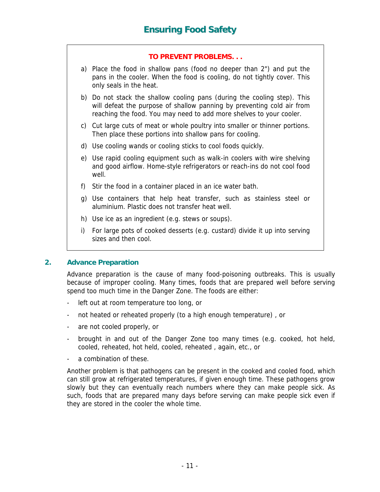- a) Place the food in shallow pans (food no deeper than 2") and put the pans in the cooler. When the food is cooling, do not tightly cover. This only seals in the heat.
- b) Do not stack the shallow cooling pans (during the cooling step). This will defeat the purpose of shallow panning by preventing cold air from reaching the food. You may need to add more shelves to your cooler.
- c) Cut large cuts of meat or whole poultry into smaller or thinner portions. Then place these portions into shallow pans for cooling.
- d) Use cooling wands or cooling sticks to cool foods quickly.
- e) Use rapid cooling equipment such as walk-in coolers with wire shelving and good airflow. Home-style refrigerators or reach-ins do not cool food well.
- f) Stir the food in a container placed in an ice water bath.
- g) Use containers that help heat transfer, such as stainless steel or aluminium. Plastic does not transfer heat well.
- h) Use ice as an ingredient (e.g. stews or soups).
- i) For large pots of cooked desserts (e.g. custard) divide it up into serving sizes and then cool.

#### **2. Advance Preparation**

Advance preparation is the cause of many food-poisoning outbreaks. This is usually because of improper cooling. Many times, foods that are prepared well before serving spend too much time in the Danger Zone. The foods are either:

- left out at room temperature too long, or
- not heated or reheated properly (to a high enough temperature) , or
- are not cooled properly, or
- brought in and out of the Danger Zone too many times (e.g. cooked, hot held, cooled, reheated, hot held, cooled, reheated , again, etc., or
- a combination of these.

Another problem is that pathogens can be present in the cooked and cooled food, which can still grow at refrigerated temperatures, if given enough time. These pathogens grow slowly but they can eventually reach numbers where they can make people sick. As such, foods that are prepared many days before serving can make people sick even if they are stored in the cooler the whole time.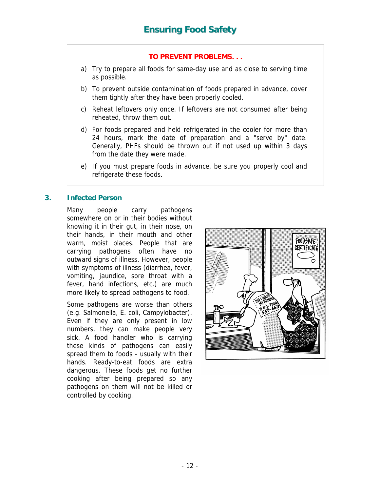- a) Try to prepare all foods for same-day use and as close to serving time as possible.
- b) To prevent outside contamination of foods prepared in advance, cover them tightly after they have been properly cooled.
- c) Reheat leftovers only once. If leftovers are not consumed after being reheated, throw them out.
- d) For foods prepared and held refrigerated in the cooler for more than 24 hours, mark the date of preparation and a "serve by" date. Generally, PHFs should be thrown out if not used up within 3 days from the date they were made.
- e) If you must prepare foods in advance, be sure you properly cool and refrigerate these foods.

#### **3. Infected Person**

Many people carry pathogens somewhere on or in their bodies without knowing it in their gut, in their nose, on their hands, in their mouth and other warm, moist places. People that are carrying pathogens often have no outward signs of illness. However, people with symptoms of illness (diarrhea, fever, vomiting, jaundice, sore throat with a fever, hand infections, etc.) are much more likely to spread pathogens to food.

Some pathogens are worse than others (e.g. Salmonella, E. coli, Campylobacter). Even if they are only present in low numbers, they can make people very sick. A food handler who is carrying these kinds of pathogens can easily spread them to foods - usually with their hands. Ready-to-eat foods are extra dangerous. These foods get no further cooking after being prepared so any pathogens on them will not be killed or controlled by cooking.

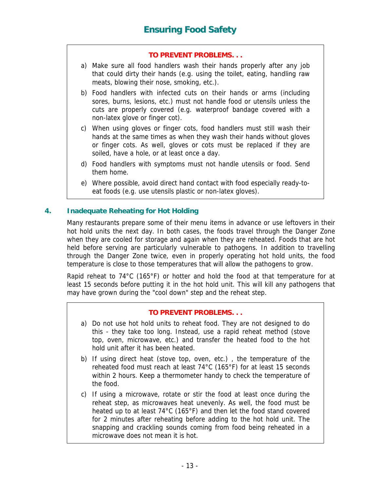- a) Make sure all food handlers wash their hands properly after any job that could dirty their hands (e.g. using the toilet, eating, handling raw meats, blowing their nose, smoking, etc.).
- b) Food handlers with infected cuts on their hands or arms (including sores, burns, lesions, etc.) must not handle food or utensils unless the cuts are properly covered (e.g. waterproof bandage covered with a non-latex glove or finger cot).
- c) When using gloves or finger cots, food handlers must still wash their hands at the same times as when they wash their hands without gloves or finger cots. As well, gloves or cots must be replaced if they are soiled, have a hole, or at least once a day.
- d) Food handlers with symptoms must not handle utensils or food. Send them home.
- e) Where possible, avoid direct hand contact with food especially ready-toeat foods (e.g. use utensils plastic or non-latex gloves).

#### **4. Inadequate Reheating for Hot Holding**

Many restaurants prepare some of their menu items in advance or use leftovers in their hot hold units the next day. In both cases, the foods travel through the Danger Zone when they are cooled for storage and again when they are reheated. Foods that are hot held before serving are particularly vulnerable to pathogens. In addition to travelling through the Danger Zone twice, even in properly operating hot hold units, the food temperature is close to those temperatures that will allow the pathogens to grow.

Rapid reheat to 74°C (165°F) or hotter and hold the food at that temperature for at least 15 seconds before putting it in the hot hold unit. This will kill any pathogens that may have grown during the "cool down" step and the reheat step.

#### **TO PREVENT PROBLEMS. . .**

- a) Do not use hot hold units to reheat food. They are not designed to do this - they take too long. Instead, use a rapid reheat method (stove top, oven, microwave, etc.) and transfer the heated food to the hot hold unit after it has been heated.
- b) If using direct heat (stove top, oven, etc.) , the temperature of the reheated food must reach at least 74°C (165°F) for at least 15 seconds within 2 hours. Keep a thermometer handy to check the temperature of the food.
- c) If using a microwave, rotate or stir the food at least once during the reheat step, as microwaves heat unevenly. As well, the food must be heated up to at least 74°C (165°F) and then let the food stand covered for 2 minutes after reheating before adding to the hot hold unit. The snapping and crackling sounds coming from food being reheated in a microwave does not mean it is hot.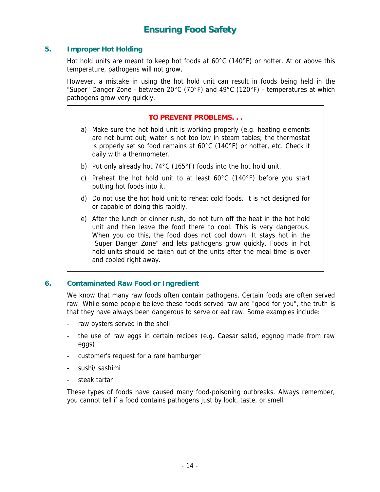#### **5. Improper Hot Holding**

Hot hold units are meant to keep hot foods at 60°C (140°F) or hotter. At or above this temperature, pathogens will not grow.

However, a mistake in using the hot hold unit can result in foods being held in the "Super" Danger Zone - between 20°C (70°F) and 49°C (120°F) - temperatures at which pathogens grow very quickly.

#### **TO PREVENT PROBLEMS. . .**

- a) Make sure the hot hold unit is working properly (e.g. heating elements are not burnt out; water is not too low in steam tables; the thermostat is properly set so food remains at 60°C (140°F) or hotter, etc. Check it daily with a thermometer.
- b) Put only already hot 74°C (165°F) foods into the hot hold unit.
- c) Preheat the hot hold unit to at least 60°C (140°F) before you start putting hot foods into it.
- d) Do not use the hot hold unit to reheat cold foods. It is not designed for or capable of doing this rapidly.
- e) After the lunch or dinner rush, do not turn off the heat in the hot hold unit and then leave the food there to cool. This is very dangerous. When you do this, the food does not cool down. It stays hot in the "Super Danger Zone" and lets pathogens grow quickly. Foods in hot hold units should be taken out of the units after the meal time is over and cooled right away.

#### **6. Contaminated Raw Food or Ingredient**

We know that many raw foods often contain pathogens. Certain foods are often served raw. While some people believe these foods served raw are "good for you", the truth is that they have always been dangerous to serve or eat raw. Some examples include:

- raw oysters served in the shell
- the use of raw eggs in certain recipes (e.g. Caesar salad, eggnog made from raw eggs)
- customer's request for a rare hamburger
- sushi/ sashimi
- steak tartar

These types of foods have caused many food-poisoning outbreaks. Always remember, you cannot tell if a food contains pathogens just by look, taste, or smell.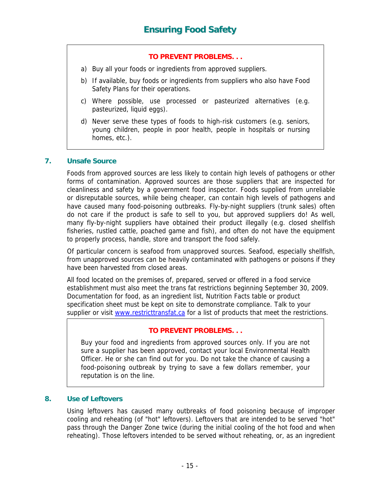- a) Buy all your foods or ingredients from approved suppliers.
- b) If available, buy foods or ingredients from suppliers who also have Food Safety Plans for their operations.
- c) Where possible, use processed or pasteurized alternatives (e.g. pasteurized, liquid eggs).
- d) Never serve these types of foods to high-risk customers (e.g. seniors, young children, people in poor health, people in hospitals or nursing homes, etc.).

#### **7. Unsafe Source**

Foods from approved sources are less likely to contain high levels of pathogens or other forms of contamination. Approved sources are those suppliers that are inspected for cleanliness and safety by a government food inspector. Foods supplied from unreliable or disreputable sources, while being cheaper, can contain high levels of pathogens and have caused many food-poisoning outbreaks. Fly-by-night suppliers (trunk sales) often do not care if the product is safe to sell to you, but approved suppliers do! As well, many fly-by-night suppliers have obtained their product illegally (e.g. closed shellfish fisheries, rustled cattle, poached game and fish), and often do not have the equipment to properly process, handle, store and transport the food safely.

Of particular concern is seafood from unapproved sources. Seafood, especially shellfish, from unapproved sources can be heavily contaminated with pathogens or poisons if they have been harvested from closed areas.

All food located on the premises of, prepared, served or offered in a food service establishment must also meet the trans fat restrictions beginning September 30, 2009. Documentation for food, as an ingredient list, Nutrition Facts table or product specification sheet must be kept on site to demonstrate compliance. Talk to your supplier or visit [www.restricttransfat.ca](http://www.restricttransfat.ca/) for a list of products that meet the restrictions.

#### **TO PREVENT PROBLEMS. . .**

Buy your food and ingredients from approved sources only. If you are not sure a supplier has been approved, contact your local Environmental Health Officer. He or she can find out for you. Do not take the chance of causing a food-poisoning outbreak by trying to save a few dollars remember, your reputation is on the line.

#### **8. Use of Leftovers**

Using leftovers has caused many outbreaks of food poisoning because of improper cooling and reheating (of "hot" leftovers). Leftovers that are intended to be served "hot" pass through the Danger Zone twice (during the initial cooling of the hot food and when reheating). Those leftovers intended to be served without reheating, or, as an ingredient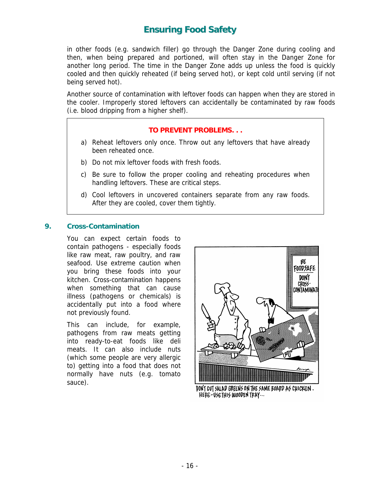in other foods (e.g. sandwich filler) go through the Danger Zone during cooling and then, when being prepared and portioned, will often stay in the Danger Zone for another long period. The time in the Danger Zone adds up unless the food is quickly cooled and then quickly reheated (if being served hot), or kept cold until serving (if not being served hot).

Another source of contamination with leftover foods can happen when they are stored in the cooler. Improperly stored leftovers can accidentally be contaminated by raw foods (i.e. blood dripping from a higher shelf).

#### **TO PREVENT PROBLEMS. . .**

- a) Reheat leftovers only once. Throw out any leftovers that have already been reheated once.
- b) Do not mix leftover foods with fresh foods.
- c) Be sure to follow the proper cooling and reheating procedures when handling leftovers. These are critical steps.
- d) Cool leftovers in uncovered containers separate from any raw foods. After they are cooled, cover them tightly.

#### **9. Cross-Contamination**

You can expect certain foods to contain pathogens - especially foods like raw meat, raw poultry, and raw seafood. Use extreme caution when you bring these foods into your kitchen. Cross-contamination happens when something that can cause illness (pathogens or chemicals) is accidentally put into a food where not previously found.

This can include, for example, pathogens from raw meats getting into ready-to-eat foods like deli meats. It can also include nuts (which some people are very allergic to) getting into a food that does not normally have nuts (e.g. tomato sauce).



DON'T CUT SALAD GREENS ON THE SAME BOARD AS CHICKEN. HEPE-USETHIS WOODEN TRAY...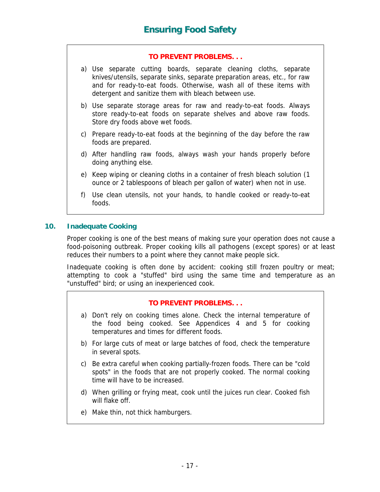- a) Use separate cutting boards, separate cleaning cloths, separate knives/utensils, separate sinks, separate preparation areas, etc., for raw and for ready-to-eat foods. Otherwise, wash all of these items with detergent and sanitize them with bleach between use.
- b) Use separate storage areas for raw and ready-to-eat foods. Always store ready-to-eat foods on separate shelves and above raw foods. Store dry foods above wet foods.
- c) Prepare ready-to-eat foods at the beginning of the day before the raw foods are prepared.
- d) After handling raw foods, always wash your hands properly before doing anything else.
- e) Keep wiping or cleaning cloths in a container of fresh bleach solution (1 ounce or 2 tablespoons of bleach per gallon of water) when not in use.
- f) Use clean utensils, not your hands, to handle cooked or ready-to-eat foods.

#### **10. Inadequate Cooking**

Proper cooking is one of the best means of making sure your operation does not cause a food-poisoning outbreak. Proper cooking kills all pathogens (except spores) or at least reduces their numbers to a point where they cannot make people sick.

Inadequate cooking is often done by accident: cooking still frozen poultry or meat; attempting to cook a "stuffed" bird using the same time and temperature as an "unstuffed" bird; or using an inexperienced cook.

#### **TO PREVENT PROBLEMS. . .**

- a) Don't rely on cooking times alone. Check the internal temperature of the food being cooked. See Appendices 4 and 5 for cooking temperatures and times for different foods.
- b) For large cuts of meat or large batches of food, check the temperature in several spots.
- c) Be extra careful when cooking partially-frozen foods. There can be "cold spots" in the foods that are not properly cooked. The normal cooking time will have to be increased.
- d) When grilling or frying meat, cook until the juices run clear. Cooked fish will flake off.
- e) Make thin, not thick hamburgers.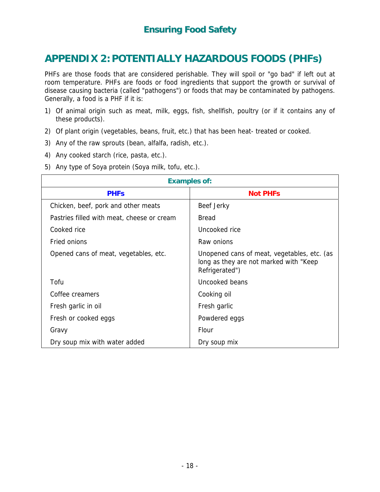# <span id="page-19-0"></span>**APPENDIX 2: POTENTIALLY HAZARDOUS FOODS (PHFs)**

PHFs are those foods that are considered perishable. They will spoil or "go bad" if left out at room temperature. PHFs are foods or food ingredients that support the growth or survival of disease causing bacteria (called "pathogens") or foods that may be contaminated by pathogens. Generally, a food is a PHF if it is:

- 1) Of animal origin such as meat, milk, eggs, fish, shellfish, poultry (or if it contains any of these products).
- 2) Of plant origin (vegetables, beans, fruit, etc.) that has been heat- treated or cooked.
- 3) Any of the raw sprouts (bean, alfalfa, radish, etc.).
- 4) Any cooked starch (rice, pasta, etc.).
- 5) Any type of Soya protein (Soya milk, tofu, etc.).

| <b>Examples of:</b>                        |                                                                                                         |  |  |  |
|--------------------------------------------|---------------------------------------------------------------------------------------------------------|--|--|--|
| <b>PHFs</b>                                | <b>Not PHFs</b>                                                                                         |  |  |  |
| Chicken, beef, pork and other meats        | Beef Jerky                                                                                              |  |  |  |
| Pastries filled with meat, cheese or cream | <b>Bread</b>                                                                                            |  |  |  |
| Cooked rice                                | Uncooked rice                                                                                           |  |  |  |
| Fried onions                               | Raw onions                                                                                              |  |  |  |
| Opened cans of meat, vegetables, etc.      | Unopened cans of meat, vegetables, etc. (as<br>long as they are not marked with "Keep<br>Refrigerated") |  |  |  |
| Tofu                                       | Uncooked beans                                                                                          |  |  |  |
| Coffee creamers                            | Cooking oil                                                                                             |  |  |  |
| Fresh garlic in oil                        | Fresh garlic                                                                                            |  |  |  |
| Fresh or cooked eggs                       | Powdered eggs                                                                                           |  |  |  |
| Gravy                                      | Flour                                                                                                   |  |  |  |
| Dry soup mix with water added              | Dry soup mix                                                                                            |  |  |  |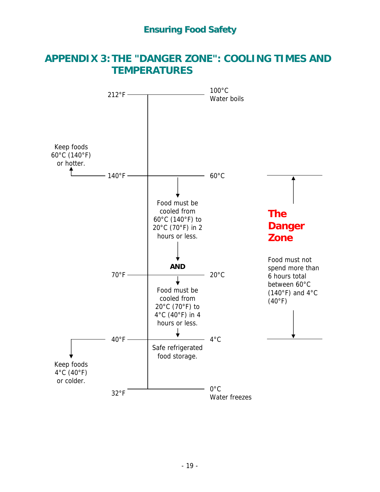# <span id="page-20-0"></span>**APPENDIX 3: THE "DANGER ZONE": COOLING TIMES AND TEMPERATURES**

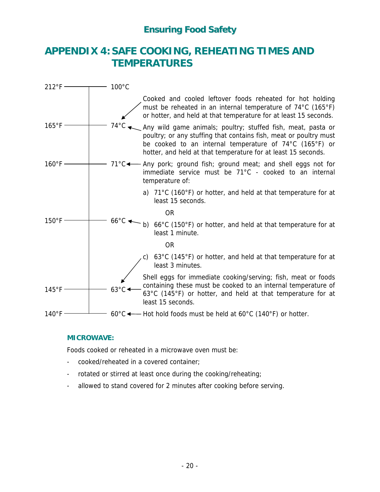# <span id="page-21-0"></span>**APPENDIX 4: SAFE COOKING, REHEATING TIMES AND TEMPERATURES**

| $212^{\circ}F -$ | $100^{\circ}$ C                |                                                                                                                                                                                                                                                               |
|------------------|--------------------------------|---------------------------------------------------------------------------------------------------------------------------------------------------------------------------------------------------------------------------------------------------------------|
|                  |                                | Cooked and cooled leftover foods reheated for hot holding<br>must be reheated in an internal temperature of 74°C (165°F)<br>or hotter, and held at that temperature for at least 15 seconds.                                                                  |
| $165^{\circ}F$   | $74^{\circ}$ C                 | Any wild game animals; poultry; stuffed fish, meat, pasta or<br>poultry; or any stuffing that contains fish, meat or poultry must<br>be cooked to an internal temperature of 74°C (165°F) or<br>hotter, and held at that temperature for at least 15 seconds. |
| $160^{\circ}$ F  |                                | $71^{\circ}$ C $\leftarrow$ Any pork; ground fish; ground meat; and shell eggs not for<br>immediate service must be 71°C - cooked to an internal<br>temperature of:                                                                                           |
|                  |                                | a) $71^{\circ}$ C (160 $^{\circ}$ F) or hotter, and held at that temperature for at<br>least 15 seconds.                                                                                                                                                      |
|                  |                                | <b>OR</b>                                                                                                                                                                                                                                                     |
| $150^{\circ}$ F  | $66^{\circ}$ C $\triangleleft$ | b) 66°C (150°F) or hotter, and held at that temperature for at<br>least 1 minute.                                                                                                                                                                             |
|                  |                                | <b>OR</b>                                                                                                                                                                                                                                                     |
|                  |                                | 63°C (145°F) or hotter, and held at that temperature for at<br>least 3 minutes.                                                                                                                                                                               |
| $145^{\circ}$ F  | $63^{\circ}$ C                 | Shell eggs for immediate cooking/serving; fish, meat or foods<br>containing these must be cooked to an internal temperature of<br>63°C (145°F) or hotter, and held at that temperature for at<br>least 15 seconds.                                            |
| $140^{\circ}$ F  |                                | 60°C $\longleftarrow$ Hot hold foods must be held at 60°C (140°F) or hotter.                                                                                                                                                                                  |

#### **MICROWAVE:**

Foods cooked or reheated in a microwave oven must be:

- cooked/reheated in a covered container;
- rotated or stirred at least once during the cooking/reheating;
- allowed to stand covered for 2 minutes after cooking before serving.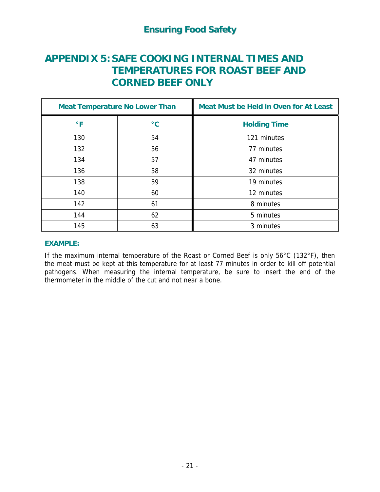# <span id="page-22-0"></span>**APPENDIX 5: SAFE COOKING INTERNAL TIMES AND TEMPERATURES FOR ROAST BEEF AND CORNED BEEF ONLY**

| <b>Meat Temperature No Lower Than</b> |                 | <b>Meat Must be Held in Oven for At Least</b> |  |
|---------------------------------------|-----------------|-----------------------------------------------|--|
| $\circ$ F                             | $\rm ^{\circ}C$ | <b>Holding Time</b>                           |  |
| 130                                   | 54              | 121 minutes                                   |  |
| 132                                   | 56              | 77 minutes                                    |  |
| 134                                   | 57              | 47 minutes                                    |  |
| 136                                   | 58              | 32 minutes                                    |  |
| 138                                   | 59              | 19 minutes                                    |  |
| 140                                   | 60              | 12 minutes                                    |  |
| 142                                   | 61              | 8 minutes                                     |  |
| 144                                   | 62              | 5 minutes                                     |  |
| 145                                   | 63              | 3 minutes                                     |  |

#### **EXAMPLE:**

If the maximum internal temperature of the Roast or Corned Beef is only 56°C (132°F), then the meat must be kept at this temperature for at least 77 minutes in order to kill off potential pathogens. When measuring the internal temperature, be sure to insert the end of the thermometer in the middle of the cut and not near a bone.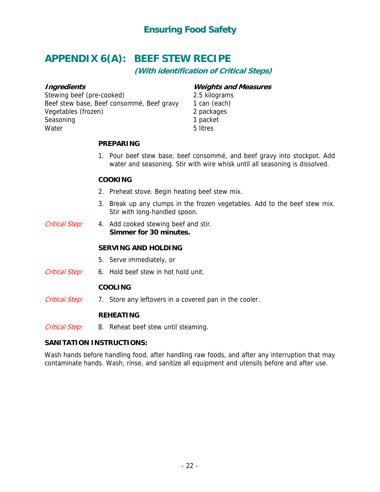# <span id="page-23-0"></span>**APPENDIX 6(A): BEEF STEW RECIPE**

**(With identification of Critical Steps)** 

#### **Ingredients**

Stewing beef (pre-cooked) Beef stew base, Beef consommé, Beef gravy Vegetables (frozen) Seasoning **Water** 

#### **Weights and Measures**

2.5 kilograms 1 can (each) 2 packages 1 packet 5 litres

#### **PREPARING**

1. Pour beef stew base, beef consommé, and beef gravy into stockpot. Add water and seasoning. Stir with wire whisk until all seasoning is dissolved.

#### **COOKING**

- 2. Preheat stove. Begin heating beef stew mix.
- 3. Break up any clumps in the frozen vegetables. Add to the beef stew mix. Stir with long-handled spoon.
- Critical Step: 4. Add cooked stewing beef and stir. **Simmer for 30 minutes.**

#### **SERVING AND HOLDING**

- 5. Serve immediately, or
- Critical Step: 6. Hold beef stew in hot hold unit.

#### **COOLING**

Critical Step: 7. Store any leftovers in a covered pan in the cooler.

#### **REHEATING**

Critical Step: 8. Reheat beef stew until steaming.

#### **SANITATION INSTRUCTIONS:**

Wash hands before handling food, after handling raw foods, and after any interruption that may contaminate hands. Wash, rinse, and sanitize all equipment and utensils before and after use.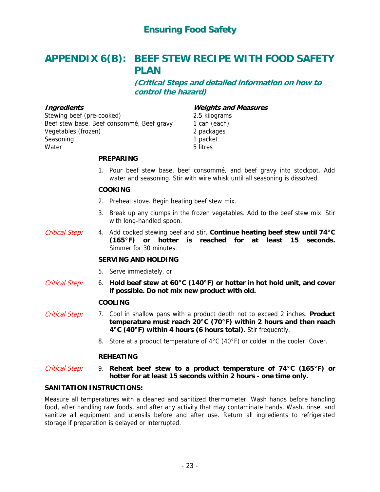# <span id="page-24-0"></span>**APPENDIX 6(B): BEEF STEW RECIPE WITH FOOD SAFETY PLAN**

**(Critical Steps and detailed information on how to control the hazard)** 

#### **Ingredients**

Stewing beef (pre-cooked) Beef stew base, Beef consommé, Beef gravy Vegetables (frozen) Seasoning Water

#### **Weights and Measures**

2.5 kilograms 1 can (each) 2 packages 1 packet 5 litres

#### **PREPARING**

1. Pour beef stew base, beef consommé, and beef gravy into stockpot. Add water and seasoning. Stir with wire whisk until all seasoning is dissolved.

#### **COOKING**

- 2. Preheat stove. Begin heating beef stew mix.
- 3. Break up any clumps in the frozen vegetables. Add to the beef stew mix. Stir with long-handled spoon.
- 4. Add cooked stewing beef and stir. **Continue heating beef stew until 74°C (165°F) or hotter is reached for at least 15 seconds.** Simmer for 30 minutes. Critical Step:

#### **SERVING AND HOLDING**

- 5. Serve immediately, or
- 6. **Hold beef stew at 60°C (140°F) or hotter in hot hold unit, and cover if possible. Do not mix new product with old.** Critical Step:

#### **COOLING**

- 7. Cool in shallow pans with a product depth not to exceed 2 inches. **Product temperature must reach 20°C (70°F) within 2 hours and then reach 4°C (40°F) within 4 hours (6 hours total).** Stir frequently. Critical Step:
	- 8. Store at a product temperature of 4°C (40°F) or colder in the cooler. Cover.

#### **REHEATING**

#### 9. **Reheat beef stew to a product temperature of 74°C (165°F) or hotter for at least 15 seconds within 2 hours - one time only.** Critical Step:

#### **SANITATION INSTRUCTIONS:**

Measure all temperatures with a cleaned and sanitized thermometer. Wash hands before handling food, after handling raw foods, and after any activity that may contaminate hands. Wash, rinse, and sanitize all equipment and utensils before and after use. Return all ingredients to refrigerated storage if preparation is delayed or interrupted.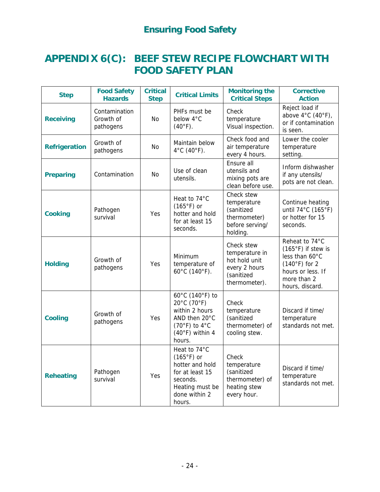# <span id="page-25-0"></span>**APPENDIX 6(C): BEEF STEW RECIPE FLOWCHART WITH FOOD SAFETY PLAN**

| <b>Step</b>          | <b>Food Safety</b><br><b>Hazards</b>    | <b>Critical</b><br><b>Step</b> | <b>Critical Limits</b>                                                                                                       | <b>Monitoring the</b><br><b>Critical Steps</b>                                                | <b>Corrective</b><br><b>Action</b>                                                                                                        |
|----------------------|-----------------------------------------|--------------------------------|------------------------------------------------------------------------------------------------------------------------------|-----------------------------------------------------------------------------------------------|-------------------------------------------------------------------------------------------------------------------------------------------|
| <b>Receiving</b>     | Contamination<br>Growth of<br>pathogens | <b>No</b>                      | PHFs must be<br>below 4°C<br>$(40°F)$ .                                                                                      | Check<br>temperature<br>Visual inspection.                                                    | Reject load if<br>above $4^{\circ}$ C (40 $^{\circ}$ F),<br>or if contamination<br>is seen.                                               |
| <b>Refrigeration</b> | Growth of<br>pathogens                  | No                             | Maintain below<br>$4^{\circ}$ C (40 $^{\circ}$ F).                                                                           | Check food and<br>air temperature<br>every 4 hours.                                           | Lower the cooler<br>temperature<br>setting.                                                                                               |
| <b>Preparing</b>     | Contamination                           | No.                            | Use of clean<br>utensils.                                                                                                    | Ensure all<br>utensils and<br>mixing pots are<br>clean before use.                            | Inform dishwasher<br>if any utensils/<br>pots are not clean.                                                                              |
| <b>Cooking</b>       | Pathogen<br>survival                    | Yes                            | Heat to 74°C<br>$(165°F)$ or<br>hotter and hold<br>for at least 15<br>seconds.                                               | Check stew<br>temperature<br>(sanitized<br>thermometer)<br>before serving/<br>holding.        | Continue heating<br>until 74°C (165°F)<br>or hotter for 15<br>seconds.                                                                    |
| <b>Holding</b>       | Growth of<br>pathogens                  | Yes                            | Minimum<br>temperature of<br>60°C (140°F).                                                                                   | Check stew<br>temperature in<br>hot hold unit<br>every 2 hours<br>(sanitized<br>thermometer). | Reheat to 74°C<br>$(165^{\circ}F)$ if stew is<br>less than 60°C<br>$(140°F)$ for 2<br>hours or less. If<br>more than 2<br>hours, discard. |
| <b>Cooling</b>       | Growth of<br>pathogens                  | Yes                            | 60°C (140°F) to<br>20°C (70°F)<br>within 2 hours<br>AND then 20°C<br>$(70°F)$ to 4°C<br>$(40°F)$ within 4<br>hours.          | Check<br>temperature<br>(sanitized<br>thermometer) of<br>cooling stew.                        | Discard if time/<br>temperature<br>standards not met.                                                                                     |
| <b>Reheating</b>     | Pathogen<br>survival                    | Yes                            | Heat to 74°C<br>$(165°F)$ or<br>hotter and hold<br>for at least 15<br>seconds.<br>Heating must be<br>done within 2<br>hours. | Check<br>temperature<br>(sanitized<br>thermometer) of<br>heating stew<br>every hour.          | Discard if time/<br>temperature<br>standards not met.                                                                                     |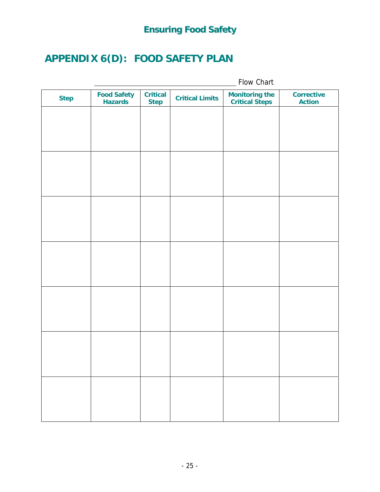# <span id="page-26-0"></span>**APPENDIX 6(D): FOOD SAFETY PLAN**

|             |                                      | Flow Chart                     |                        |                                                |                                    |
|-------------|--------------------------------------|--------------------------------|------------------------|------------------------------------------------|------------------------------------|
| <b>Step</b> | <b>Food Safety</b><br><b>Hazards</b> | <b>Critical</b><br><b>Step</b> | <b>Critical Limits</b> | <b>Monitoring the</b><br><b>Critical Steps</b> | <b>Corrective</b><br><b>Action</b> |
|             |                                      |                                |                        |                                                |                                    |
|             |                                      |                                |                        |                                                |                                    |
|             |                                      |                                |                        |                                                |                                    |
|             |                                      |                                |                        |                                                |                                    |
|             |                                      |                                |                        |                                                |                                    |
|             |                                      |                                |                        |                                                |                                    |
|             |                                      |                                |                        |                                                |                                    |
|             |                                      |                                |                        |                                                |                                    |
|             |                                      |                                |                        |                                                |                                    |
|             |                                      |                                |                        |                                                |                                    |
|             |                                      |                                |                        |                                                |                                    |
|             |                                      |                                |                        |                                                |                                    |
|             |                                      |                                |                        |                                                |                                    |
|             |                                      |                                |                        |                                                |                                    |
|             |                                      |                                |                        |                                                |                                    |
|             |                                      |                                |                        |                                                |                                    |